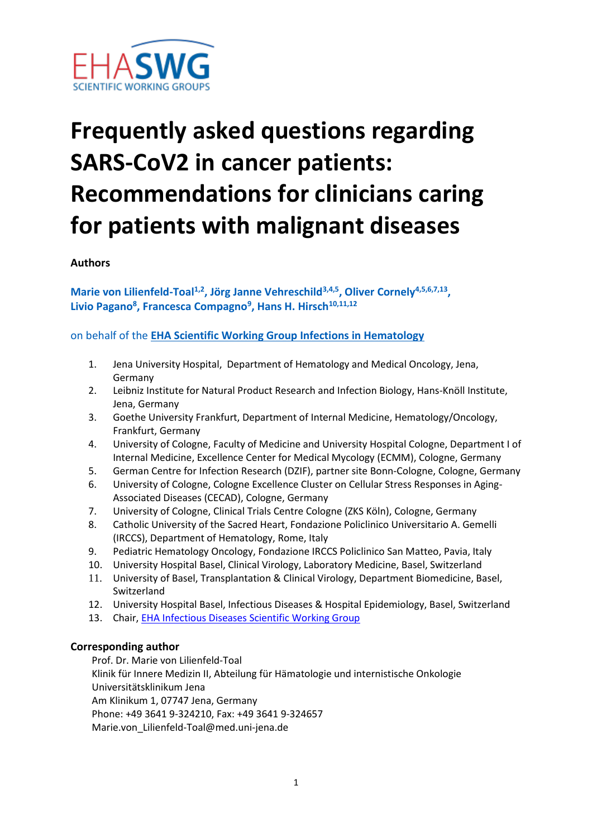

# **Frequently asked questions regarding SARS-CoV2 in cancer patients: Recommendations for clinicians caring for patients with malignant diseases**

**Authors**

**Marie von Lilienfeld-Toal1,2, Jörg Janne Vehreschild3,4,5, Oliver Cornely4,5,6,7,13 , Livio Pagano<sup>8</sup> , Francesca Compagno<sup>9</sup> , Hans H. Hirsch10,11,12**

on behalf of the **[EHA Scientific Working Group Infections in Hematology](https://ehaweb.org/research/scientific-working-groups/infections-in-hematology/)**

- 1. Jena University Hospital, Department of Hematology and Medical Oncology, Jena, Germany
- 2. Leibniz Institute for Natural Product Research and Infection Biology, Hans-Knöll Institute, Jena, Germany
- 3. Goethe University Frankfurt, Department of Internal Medicine, Hematology/Oncology, Frankfurt, Germany
- 4. University of Cologne, Faculty of Medicine and University Hospital Cologne, Department I of Internal Medicine, Excellence Center for Medical Mycology (ECMM), Cologne, Germany
- 5. German Centre for Infection Research (DZIF), partner site Bonn-Cologne, Cologne, Germany
- 6. University of Cologne, Cologne Excellence Cluster on Cellular Stress Responses in Aging-Associated Diseases (CECAD), Cologne, Germany
- 7. University of Cologne, Clinical Trials Centre Cologne (ZKS Köln), Cologne, Germany
- 8. Catholic University of the Sacred Heart, Fondazione Policlinico Universitario A. Gemelli (IRCCS), Department of Hematology, Rome, Italy
- 9. Pediatric Hematology Oncology, Fondazione IRCCS Policlinico San Matteo, Pavia, Italy
- 10. University Hospital Basel, Clinical Virology, Laboratory Medicine, Basel, Switzerland
- 11. University of Basel, Transplantation & Clinical Virology, Department Biomedicine, Basel, Switzerland
- 12. University Hospital Basel, Infectious Diseases & Hospital Epidemiology, Basel, Switzerland
- 13. Chair, **EHA Infectious Diseases Scientific Working Group**

#### **Corresponding author**

Prof. Dr. Marie von Lilienfeld-Toal Klinik für Innere Medizin II, Abteilung für Hämatologie und internistische Onkologie Universitätsklinikum Jena Am Klinikum 1, 07747 Jena, Germany Phone: +49 3641 9-324210, Fax: +49 3641 9-324657 Marie.von\_Lilienfeld-Toal@med.uni-jena.de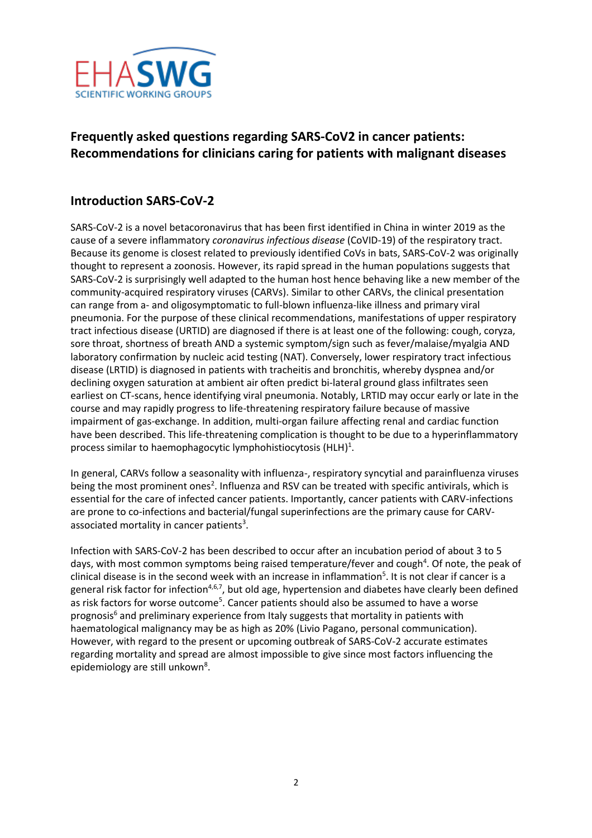

## **Frequently asked questions regarding SARS-CoV2 in cancer patients: Recommendations for clinicians caring for patients with malignant diseases**

### **Introduction SARS-CoV-2**

SARS-CoV-2 is a novel betacoronavirus that has been first identified in China in winter 2019 as the cause of a severe inflammatory *coronavirus infectious disease* (CoVID-19) of the respiratory tract. Because its genome is closest related to previously identified CoVs in bats, SARS-CoV-2 was originally thought to represent a zoonosis. However, its rapid spread in the human populations suggests that SARS-CoV-2 is surprisingly well adapted to the human host hence behaving like a new member of the community-acquired respiratory viruses (CARVs). Similar to other CARVs, the clinical presentation can range from a- and oligosymptomatic to full-blown influenza-like illness and primary viral pneumonia. For the purpose of these clinical recommendations, manifestations of upper respiratory tract infectious disease (URTID) are diagnosed if there is at least one of the following: cough, coryza, sore throat, shortness of breath AND a systemic symptom/sign such as fever/malaise/myalgia AND laboratory confirmation by nucleic acid testing (NAT). Conversely, lower respiratory tract infectious disease (LRTID) is diagnosed in patients with tracheitis and bronchitis, whereby dyspnea and/or declining oxygen saturation at ambient air often predict bi-lateral ground glass infiltrates seen earliest on CT-scans, hence identifying viral pneumonia. Notably, LRTID may occur early or late in the course and may rapidly progress to life-threatening respiratory failure because of massive impairment of gas-exchange. In addition, multi-organ failure affecting renal and cardiac function have been described. This life-threatening complication is thought to be due to a hyperinflammatory process similar to haemophagocytic lymphohistiocytosis (HLH) $^1$ .

In general, CARVs follow a seasonality with influenza-, respiratory syncytial and parainfluenza viruses being the most prominent ones<sup>2</sup>. Influenza and RSV can be treated with specific antivirals, which is essential for the care of infected cancer patients. Importantly, cancer patients with CARV-infections are prone to co-infections and bacterial/fungal superinfections are the primary cause for CARVassociated mortality in cancer patients<sup>3</sup>.

Infection with SARS-CoV-2 has been described to occur after an incubation period of about 3 to 5 days, with most common symptoms being raised temperature/fever and cough<sup>4</sup>. Of note, the peak of clinical disease is in the second week with an increase in inflammation<sup>5</sup>. It is not clear if cancer is a general risk factor for infection<sup>4,6,7</sup>, but old age, hypertension and diabetes have clearly been defined as risk factors for worse outcome<sup>5</sup>. Cancer patients should also be assumed to have a worse prognosis<sup>6</sup> and preliminary experience from Italy suggests that mortality in patients with haematological malignancy may be as high as 20% (Livio Pagano, personal communication). However, with regard to the present or upcoming outbreak of SARS-CoV-2 accurate estimates regarding mortality and spread are almost impossible to give since most factors influencing the epidemiology are still unkown<sup>8</sup>.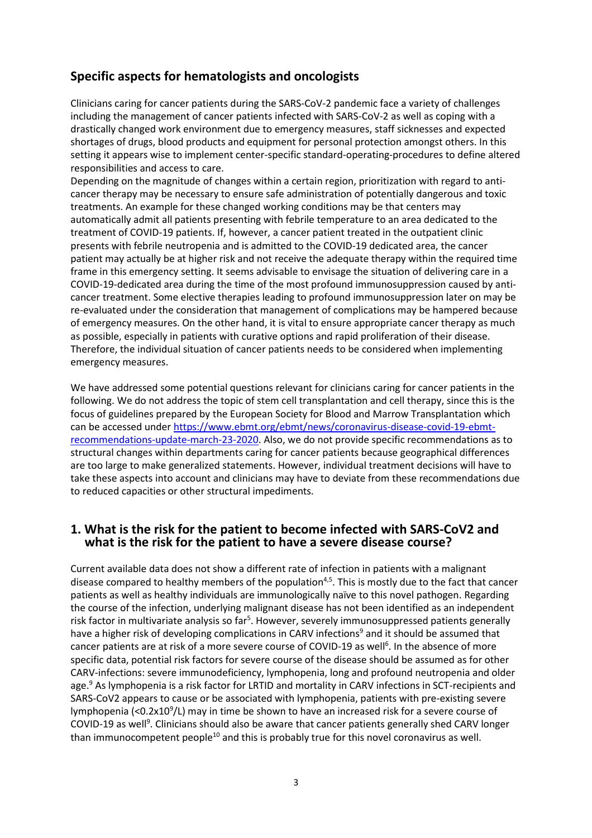#### **Specific aspects for hematologists and oncologists**

Clinicians caring for cancer patients during the SARS-CoV-2 pandemic face a variety of challenges including the management of cancer patients infected with SARS-CoV-2 as well as coping with a drastically changed work environment due to emergency measures, staff sicknesses and expected shortages of drugs, blood products and equipment for personal protection amongst others. In this setting it appears wise to implement center-specific standard-operating-procedures to define altered responsibilities and access to care.

Depending on the magnitude of changes within a certain region, prioritization with regard to anticancer therapy may be necessary to ensure safe administration of potentially dangerous and toxic treatments. An example for these changed working conditions may be that centers may automatically admit all patients presenting with febrile temperature to an area dedicated to the treatment of COVID-19 patients. If, however, a cancer patient treated in the outpatient clinic presents with febrile neutropenia and is admitted to the COVID-19 dedicated area, the cancer patient may actually be at higher risk and not receive the adequate therapy within the required time frame in this emergency setting. It seems advisable to envisage the situation of delivering care in a COVID-19-dedicated area during the time of the most profound immunosuppression caused by anticancer treatment. Some elective therapies leading to profound immunosuppression later on may be re-evaluated under the consideration that management of complications may be hampered because of emergency measures. On the other hand, it is vital to ensure appropriate cancer therapy as much as possible, especially in patients with curative options and rapid proliferation of their disease. Therefore, the individual situation of cancer patients needs to be considered when implementing emergency measures.

We have addressed some potential questions relevant for clinicians caring for cancer patients in the following. We do not address the topic of stem cell transplantation and cell therapy, since this is the focus of guidelines prepared by the European Society for Blood and Marrow Transplantation which can be accessed under [https://www.ebmt.org/ebmt/news/coronavirus-disease-covid-19-ebmt](https://www.ebmt.org/ebmt/news/coronavirus-disease-covid-19-ebmt-recommendations-update-march-23-2020)[recommendations-update-march-23-2020.](https://www.ebmt.org/ebmt/news/coronavirus-disease-covid-19-ebmt-recommendations-update-march-23-2020) Also, we do not provide specific recommendations as to structural changes within departments caring for cancer patients because geographical differences are too large to make generalized statements. However, individual treatment decisions will have to take these aspects into account and clinicians may have to deviate from these recommendations due to reduced capacities or other structural impediments.

#### **1. What is the risk for the patient to become infected with SARS-CoV2 and what is the risk for the patient to have a severe disease course?**

Current available data does not show a different rate of infection in patients with a malignant disease compared to healthy members of the population<sup>4,5</sup>. This is mostly due to the fact that cancer patients as well as healthy individuals are immunologically naïve to this novel pathogen. Regarding the course of the infection, underlying malignant disease has not been identified as an independent risk factor in multivariate analysis so far<sup>5</sup>. However, severely immunosuppressed patients generally have a higher risk of developing complications in CARV infections<sup>9</sup> and it should be assumed that cancer patients are at risk of a more severe course of COVID-19 as well<sup>6</sup>. In the absence of more specific data, potential risk factors for severe course of the disease should be assumed as for other CARV-infections: severe immunodeficiency, lymphopenia, long and profound neutropenia and older age.<sup>9</sup> As lymphopenia is a risk factor for LRTID and mortality in CARV infections in SCT-recipients and SARS-CoV2 appears to cause or be associated with lymphopenia, patients with pre-existing severe lymphopenia (<0.2x10<sup>9</sup>/L) may in time be shown to have an increased risk for a severe course of COVID-19 as well<sup>9</sup>. Clinicians should also be aware that cancer patients generally shed CARV longer than immunocompetent people<sup>10</sup> and this is probably true for this novel coronavirus as well.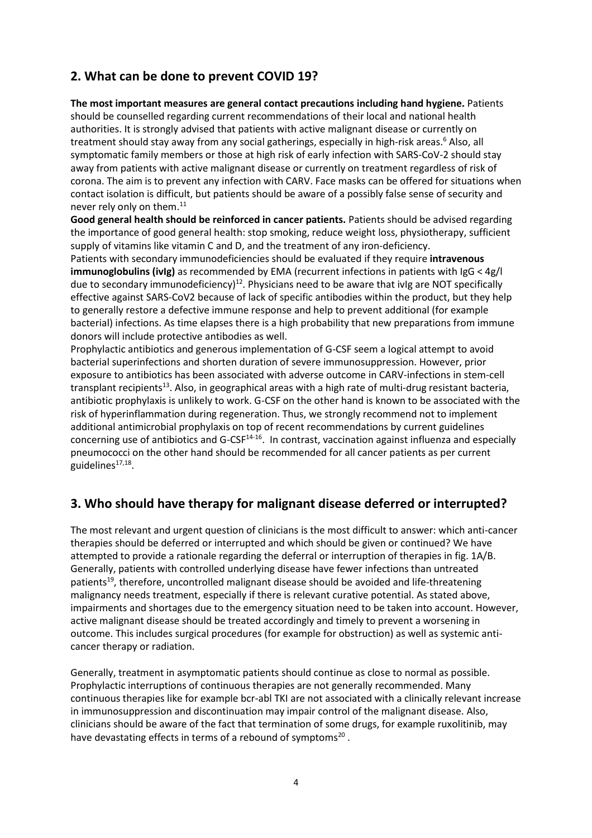## **2. What can be done to prevent COVID 19?**

**The most important measures are general contact precautions including hand hygiene.** Patients should be counselled regarding current recommendations of their local and national health authorities. It is strongly advised that patients with active malignant disease or currently on treatment should stay away from any social gatherings, especially in high-risk areas.<sup>6</sup> Also, all symptomatic family members or those at high risk of early infection with SARS-CoV-2 should stay away from patients with active malignant disease or currently on treatment regardless of risk of corona. The aim is to prevent any infection with CARV. Face masks can be offered for situations when contact isolation is difficult, but patients should be aware of a possibly false sense of security and never rely only on them. 11

**Good general health should be reinforced in cancer patients.** Patients should be advised regarding the importance of good general health: stop smoking, reduce weight loss, physiotherapy, sufficient supply of vitamins like vitamin C and D, and the treatment of any iron-deficiency.

Patients with secondary immunodeficiencies should be evaluated if they require **intravenous immunoglobulins (ivIg)** as recommended by EMA (recurrent infections in patients with IgG < 4g/l due to secondary immunodeficiency)<sup>12</sup>. Physicians need to be aware that ivIg are NOT specifically effective against SARS-CoV2 because of lack of specific antibodies within the product, but they help to generally restore a defective immune response and help to prevent additional (for example bacterial) infections. As time elapses there is a high probability that new preparations from immune donors will include protective antibodies as well.

Prophylactic antibiotics and generous implementation of G-CSF seem a logical attempt to avoid bacterial superinfections and shorten duration of severe immunosuppression. However, prior exposure to antibiotics has been associated with adverse outcome in CARV-infections in stem-cell transplant recipients<sup>13</sup>. Also, in geographical areas with a high rate of multi-drug resistant bacteria, antibiotic prophylaxis is unlikely to work. G-CSF on the other hand is known to be associated with the risk of hyperinflammation during regeneration. Thus, we strongly recommend not to implement additional antimicrobial prophylaxis on top of recent recommendations by current guidelines concerning use of antibiotics and G-CSF<sup>14-16</sup>. In contrast, vaccination against influenza and especially pneumococci on the other hand should be recommended for all cancer patients as per current guidelines<sup>17,18</sup>.

## **3. Who should have therapy for malignant disease deferred or interrupted?**

The most relevant and urgent question of clinicians is the most difficult to answer: which anti-cancer therapies should be deferred or interrupted and which should be given or continued? We have attempted to provide a rationale regarding the deferral or interruption of therapies in fig. 1A/B. Generally, patients with controlled underlying disease have fewer infections than untreated patients<sup>19</sup>, therefore, uncontrolled malignant disease should be avoided and life-threatening malignancy needs treatment, especially if there is relevant curative potential. As stated above, impairments and shortages due to the emergency situation need to be taken into account. However, active malignant disease should be treated accordingly and timely to prevent a worsening in outcome. This includes surgical procedures (for example for obstruction) as well as systemic anticancer therapy or radiation.

Generally, treatment in asymptomatic patients should continue as close to normal as possible. Prophylactic interruptions of continuous therapies are not generally recommended. Many continuous therapies like for example bcr-abl TKI are not associated with a clinically relevant increase in immunosuppression and discontinuation may impair control of the malignant disease. Also, clinicians should be aware of the fact that termination of some drugs, for example ruxolitinib, may have devastating effects in terms of a rebound of symptoms<sup>20</sup>.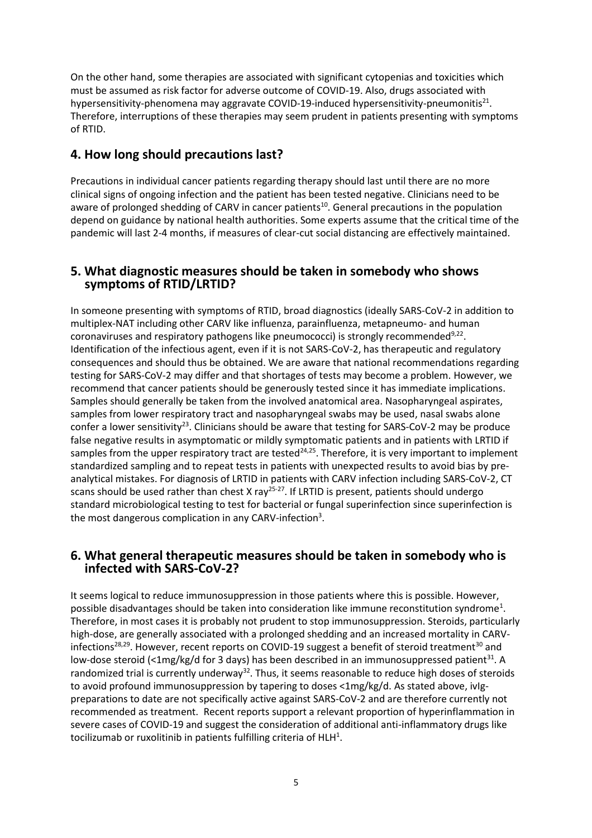On the other hand, some therapies are associated with significant cytopenias and toxicities which must be assumed as risk factor for adverse outcome of COVID-19. Also, drugs associated with hypersensitivity-phenomena may aggravate COVID-19-induced hypersensitivity-pneumonitis<sup>21</sup>. Therefore, interruptions of these therapies may seem prudent in patients presenting with symptoms of RTID.

#### **4. How long should precautions last?**

Precautions in individual cancer patients regarding therapy should last until there are no more clinical signs of ongoing infection and the patient has been tested negative. Clinicians need to be aware of prolonged shedding of CARV in cancer patients<sup>10</sup>. General precautions in the population depend on guidance by national health authorities. Some experts assume that the critical time of the pandemic will last 2-4 months, if measures of clear-cut social distancing are effectively maintained.

#### **5. What diagnostic measures should be taken in somebody who shows symptoms of RTID/LRTID?**

In someone presenting with symptoms of RTID, broad diagnostics (ideally SARS-CoV-2 in addition to multiplex-NAT including other CARV like influenza, parainfluenza, metapneumo- and human coronaviruses and respiratory pathogens like pneumococci) is strongly recommended<sup>9,22</sup>. Identification of the infectious agent, even if it is not SARS-CoV-2, has therapeutic and regulatory consequences and should thus be obtained. We are aware that national recommendations regarding testing for SARS-CoV-2 may differ and that shortages of tests may become a problem. However, we recommend that cancer patients should be generously tested since it has immediate implications. Samples should generally be taken from the involved anatomical area. Nasopharyngeal aspirates, samples from lower respiratory tract and nasopharyngeal swabs may be used, nasal swabs alone confer a lower sensitivity<sup>23</sup>. Clinicians should be aware that testing for SARS-CoV-2 may be produce false negative results in asymptomatic or mildly symptomatic patients and in patients with LRTID if samples from the upper respiratory tract are tested<sup>24,25</sup>. Therefore, it is very important to implement standardized sampling and to repeat tests in patients with unexpected results to avoid bias by preanalytical mistakes. For diagnosis of LRTID in patients with CARV infection including SARS-CoV-2, CT scans should be used rather than chest X ray<sup>25-27</sup>. If LRTID is present, patients should undergo standard microbiological testing to test for bacterial or fungal superinfection since superinfection is the most dangerous complication in any CARV-infection<sup>3</sup>.

#### **6. What general therapeutic measures should be taken in somebody who is infected with SARS-CoV-2?**

It seems logical to reduce immunosuppression in those patients where this is possible. However, possible disadvantages should be taken into consideration like immune reconstitution syndrome<sup>1</sup>. Therefore, in most cases it is probably not prudent to stop immunosuppression. Steroids, particularly high-dose, are generally associated with a prolonged shedding and an increased mortality in CARVinfections<sup>28,29</sup>. However, recent reports on COVID-19 suggest a benefit of steroid treatment<sup>30</sup> and low-dose steroid (<1mg/kg/d for 3 days) has been described in an immunosuppressed patient<sup>31</sup>. A randomized trial is currently underway<sup>32</sup>. Thus, it seems reasonable to reduce high doses of steroids to avoid profound immunosuppression by tapering to doses <1mg/kg/d. As stated above, ivIgpreparations to date are not specifically active against SARS-CoV-2 and are therefore currently not recommended as treatment. Recent reports support a relevant proportion of hyperinflammation in severe cases of COVID-19 and suggest the consideration of additional anti-inflammatory drugs like tocilizumab or ruxolitinib in patients fulfilling criteria of  $H L H^1$ .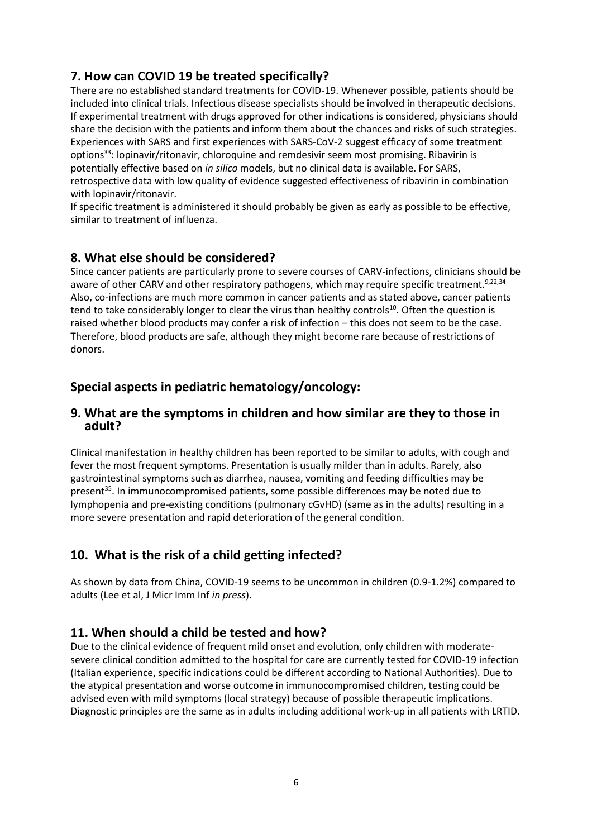## **7. How can COVID 19 be treated specifically?**

There are no established standard treatments for COVID-19. Whenever possible, patients should be included into clinical trials. Infectious disease specialists should be involved in therapeutic decisions. If experimental treatment with drugs approved for other indications is considered, physicians should share the decision with the patients and inform them about the chances and risks of such strategies. Experiences with SARS and first experiences with SARS-CoV-2 suggest efficacy of some treatment options<sup>33</sup>: lopinavir/ritonavir, chloroquine and remdesivir seem most promising. Ribavirin is potentially effective based on *in silico* models, but no clinical data is available. For SARS, retrospective data with low quality of evidence suggested effectiveness of ribavirin in combination with lopinavir/ritonavir.

If specific treatment is administered it should probably be given as early as possible to be effective, similar to treatment of influenza.

#### **8. What else should be considered?**

Since cancer patients are particularly prone to severe courses of CARV-infections, clinicians should be aware of other CARV and other respiratory pathogens, which may require specific treatment.<sup>9,22,34</sup> Also, co-infections are much more common in cancer patients and as stated above, cancer patients tend to take considerably longer to clear the virus than healthy controls<sup>10</sup>. Often the question is raised whether blood products may confer a risk of infection – this does not seem to be the case. Therefore, blood products are safe, although they might become rare because of restrictions of donors.

### **Special aspects in pediatric hematology/oncology:**

#### **9. What are the symptoms in children and how similar are they to those in adult?**

Clinical manifestation in healthy children has been reported to be similar to adults, with cough and fever the most frequent symptoms. Presentation is usually milder than in adults. Rarely, also gastrointestinal symptoms such as diarrhea, nausea, vomiting and feeding difficulties may be present<sup>35</sup>. In immunocompromised patients, some possible differences may be noted due to lymphopenia and pre-existing conditions (pulmonary cGvHD) (same as in the adults) resulting in a more severe presentation and rapid deterioration of the general condition.

## **10. What is the risk of a child getting infected?**

As shown by data from China, COVID-19 seems to be uncommon in children (0.9-1.2%) compared to adults (Lee et al, J Micr Imm Inf *in press*).

#### **11. When should a child be tested and how?**

Due to the clinical evidence of frequent mild onset and evolution, only children with moderatesevere clinical condition admitted to the hospital for care are currently tested for COVID-19 infection (Italian experience, specific indications could be different according to National Authorities). Due to the atypical presentation and worse outcome in immunocompromised children, testing could be advised even with mild symptoms (local strategy) because of possible therapeutic implications. Diagnostic principles are the same as in adults including additional work-up in all patients with LRTID.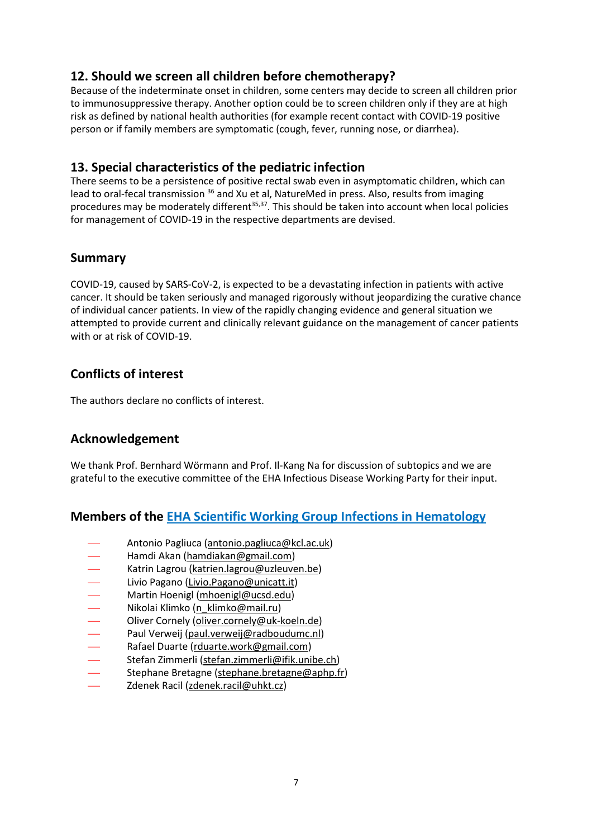## **12. Should we screen all children before chemotherapy?**

Because of the indeterminate onset in children, some centers may decide to screen all children prior to immunosuppressive therapy. Another option could be to screen children only if they are at high risk as defined by national health authorities (for example recent contact with COVID-19 positive person or if family members are symptomatic (cough, fever, running nose, or diarrhea).

#### **13. Special characteristics of the pediatric infection**

There seems to be a persistence of positive rectal swab even in asymptomatic children, which can lead to oral-fecal transmission <sup>36</sup> and Xu et al, NatureMed in press. Also, results from imaging procedures may be moderately different<sup>35,37</sup>. This should be taken into account when local policies for management of COVID-19 in the respective departments are devised.

#### **Summary**

COVID-19, caused by SARS-CoV-2, is expected to be a devastating infection in patients with active cancer. It should be taken seriously and managed rigorously without jeopardizing the curative chance of individual cancer patients. In view of the rapidly changing evidence and general situation we attempted to provide current and clinically relevant guidance on the management of cancer patients with or at risk of COVID-19.

### **Conflicts of interest**

The authors declare no conflicts of interest.

## **Acknowledgement**

We thank Prof. Bernhard Wörmann and Prof. Il-Kang Na for discussion of subtopics and we are grateful to the executive committee of the EHA Infectious Disease Working Party for their input.

#### **Members of the [EHA Scientific Working Group Infections in Hematology](https://ehaweb.org/research/scientific-working-groups/infections-in-hematology/)**

- Antonio Pagliuca [\(antonio.pagliuca@kcl.ac.uk\)](mailto:antonio.pagliuca@kcl.ac.uk)
- Hamdi Akan [\(hamdiakan@gmail.com\)](mailto:hamdiakan@gmail.com)
- Katrin Lagrou [\(katrien.lagrou@uzleuven.be\)](mailto:katrien.lagrou@uzleuven.be)
- 
- Livio Pagano (<u>Livio Pagano@unicatt.it</u>)<br>— Martin Hoenigl (mhoenigl@ucsd.edu)<br>— Nikolai Klimko (n\_klimko@mail.ru)<br>— Oliver Cornely (oliver.cornely@uk-koel Martin Hoenigl [\(mhoenigl@ucsd.edu\)](mailto:mhoenigl@ucsd.edu)
- Nikolai Klimko [\(n\\_klimko@mail.ru\)](mailto:n_klimko@mail.ru)
- Oliver Cornely [\(oliver.cornely@uk-koeln.de\)](mailto:oliver.cornely@uk-koeln.de)
- Paul Verweij [\(paul.verweij@radboudumc.nl\)](mailto:paul.verweij@radboudumc.nl)
- Rafael Duarte [\(rduarte.work@gmail.com\)](mailto:rduarte.work@gmail.com)
- Stefan Zimmerli [\(stefan.zimmerli@ifik.unibe.ch\)](mailto:stefan.zimmerli@ifik.unibe.ch)
- Stephane Bretagne [\(stephane.bretagne@aphp.fr\)](mailto:stephane.bretagne@aphp.fr)
- Zdenek Racil [\(zdenek.racil@uhkt.cz\)](mailto:zdenek.racil@uhkt.cz)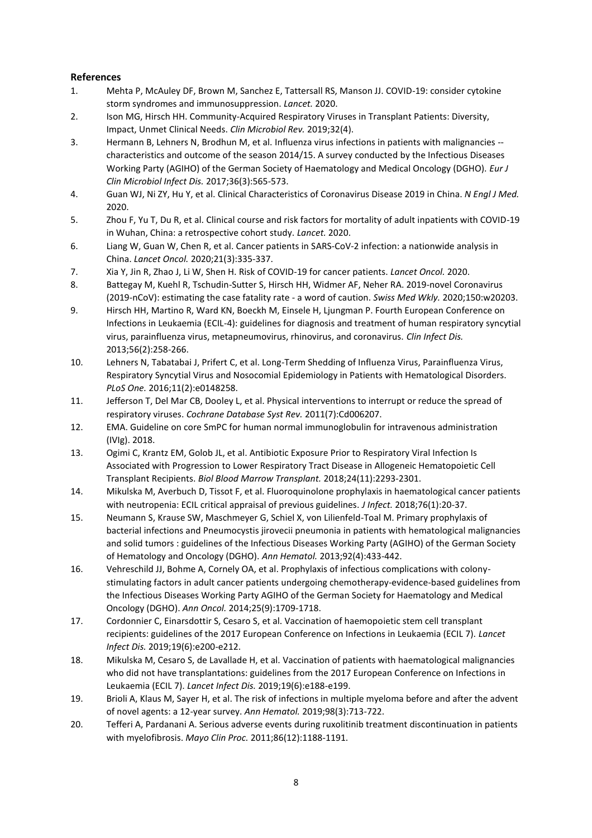#### **References**

- 1. Mehta P, McAuley DF, Brown M, Sanchez E, Tattersall RS, Manson JJ. COVID-19: consider cytokine storm syndromes and immunosuppression. *Lancet.* 2020.
- 2. Ison MG, Hirsch HH. Community-Acquired Respiratory Viruses in Transplant Patients: Diversity, Impact, Unmet Clinical Needs. *Clin Microbiol Rev.* 2019;32(4).
- 3. Hermann B, Lehners N, Brodhun M, et al. Influenza virus infections in patients with malignancies characteristics and outcome of the season 2014/15. A survey conducted by the Infectious Diseases Working Party (AGIHO) of the German Society of Haematology and Medical Oncology (DGHO). *Eur J Clin Microbiol Infect Dis.* 2017;36(3):565-573.
- 4. Guan WJ, Ni ZY, Hu Y, et al. Clinical Characteristics of Coronavirus Disease 2019 in China. *N Engl J Med.*  2020.
- 5. Zhou F, Yu T, Du R, et al. Clinical course and risk factors for mortality of adult inpatients with COVID-19 in Wuhan, China: a retrospective cohort study. *Lancet.* 2020.
- 6. Liang W, Guan W, Chen R, et al. Cancer patients in SARS-CoV-2 infection: a nationwide analysis in China. *Lancet Oncol.* 2020;21(3):335-337.
- 7. Xia Y, Jin R, Zhao J, Li W, Shen H. Risk of COVID-19 for cancer patients. *Lancet Oncol.* 2020.
- 8. Battegay M, Kuehl R, Tschudin-Sutter S, Hirsch HH, Widmer AF, Neher RA. 2019-novel Coronavirus (2019-nCoV): estimating the case fatality rate - a word of caution. *Swiss Med Wkly.* 2020;150:w20203.
- 9. Hirsch HH, Martino R, Ward KN, Boeckh M, Einsele H, Ljungman P. Fourth European Conference on Infections in Leukaemia (ECIL-4): guidelines for diagnosis and treatment of human respiratory syncytial virus, parainfluenza virus, metapneumovirus, rhinovirus, and coronavirus. *Clin Infect Dis.*  2013;56(2):258-266.
- 10. Lehners N, Tabatabai J, Prifert C, et al. Long-Term Shedding of Influenza Virus, Parainfluenza Virus, Respiratory Syncytial Virus and Nosocomial Epidemiology in Patients with Hematological Disorders. *PLoS One.* 2016;11(2):e0148258.
- 11. Jefferson T, Del Mar CB, Dooley L, et al. Physical interventions to interrupt or reduce the spread of respiratory viruses. *Cochrane Database Syst Rev.* 2011(7):Cd006207.
- 12. EMA. Guideline on core SmPC for human normal immunoglobulin for intravenous administration (IVIg). 2018.
- 13. Ogimi C, Krantz EM, Golob JL, et al. Antibiotic Exposure Prior to Respiratory Viral Infection Is Associated with Progression to Lower Respiratory Tract Disease in Allogeneic Hematopoietic Cell Transplant Recipients. *Biol Blood Marrow Transplant.* 2018;24(11):2293-2301.
- 14. Mikulska M, Averbuch D, Tissot F, et al. Fluoroquinolone prophylaxis in haematological cancer patients with neutropenia: ECIL critical appraisal of previous guidelines. *J Infect.* 2018;76(1):20-37.
- 15. Neumann S, Krause SW, Maschmeyer G, Schiel X, von Lilienfeld-Toal M. Primary prophylaxis of bacterial infections and Pneumocystis jirovecii pneumonia in patients with hematological malignancies and solid tumors : guidelines of the Infectious Diseases Working Party (AGIHO) of the German Society of Hematology and Oncology (DGHO). *Ann Hematol.* 2013;92(4):433-442.
- 16. Vehreschild JJ, Bohme A, Cornely OA, et al. Prophylaxis of infectious complications with colonystimulating factors in adult cancer patients undergoing chemotherapy-evidence-based guidelines from the Infectious Diseases Working Party AGIHO of the German Society for Haematology and Medical Oncology (DGHO). *Ann Oncol.* 2014;25(9):1709-1718.
- 17. Cordonnier C, Einarsdottir S, Cesaro S, et al. Vaccination of haemopoietic stem cell transplant recipients: guidelines of the 2017 European Conference on Infections in Leukaemia (ECIL 7). *Lancet Infect Dis.* 2019;19(6):e200-e212.
- 18. Mikulska M, Cesaro S, de Lavallade H, et al. Vaccination of patients with haematological malignancies who did not have transplantations: guidelines from the 2017 European Conference on Infections in Leukaemia (ECIL 7). *Lancet Infect Dis.* 2019;19(6):e188-e199.
- 19. Brioli A, Klaus M, Sayer H, et al. The risk of infections in multiple myeloma before and after the advent of novel agents: a 12-year survey. *Ann Hematol.* 2019;98(3):713-722.
- 20. Tefferi A, Pardanani A. Serious adverse events during ruxolitinib treatment discontinuation in patients with myelofibrosis. *Mayo Clin Proc.* 2011;86(12):1188-1191.